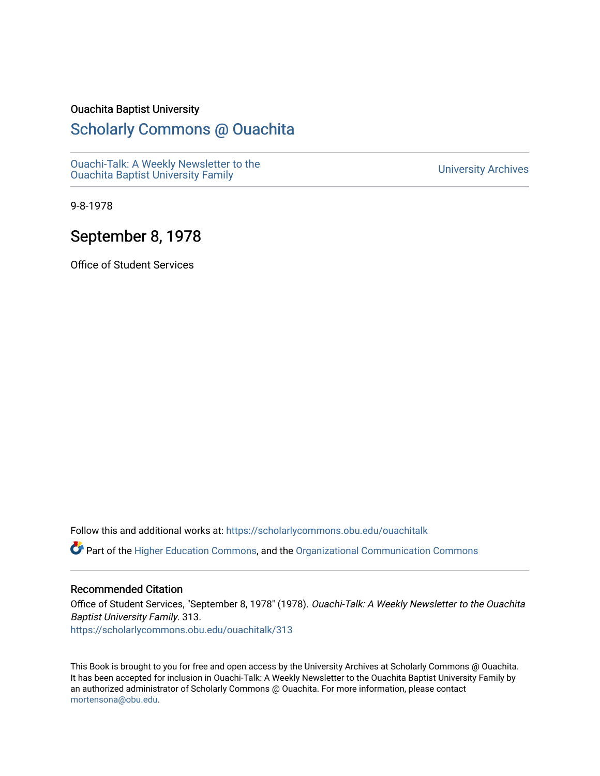## Ouachita Baptist University

## [Scholarly Commons @ Ouachita](https://scholarlycommons.obu.edu/)

[Ouachi-Talk: A Weekly Newsletter to the](https://scholarlycommons.obu.edu/ouachitalk)  Ouachi-Taik. A weekly Newsletter to the community of the University Archives<br>[Ouachita Baptist University Family](https://scholarlycommons.obu.edu/ouachitalk)

9-8-1978

## September 8, 1978

Office of Student Services

Follow this and additional works at: [https://scholarlycommons.obu.edu/ouachitalk](https://scholarlycommons.obu.edu/ouachitalk?utm_source=scholarlycommons.obu.edu%2Fouachitalk%2F313&utm_medium=PDF&utm_campaign=PDFCoverPages) 

Part of the [Higher Education Commons,](http://network.bepress.com/hgg/discipline/1245?utm_source=scholarlycommons.obu.edu%2Fouachitalk%2F313&utm_medium=PDF&utm_campaign=PDFCoverPages) and the [Organizational Communication Commons](http://network.bepress.com/hgg/discipline/335?utm_source=scholarlycommons.obu.edu%2Fouachitalk%2F313&utm_medium=PDF&utm_campaign=PDFCoverPages)

## Recommended Citation

Office of Student Services, "September 8, 1978" (1978). Ouachi-Talk: A Weekly Newsletter to the Ouachita Baptist University Family. 313. [https://scholarlycommons.obu.edu/ouachitalk/313](https://scholarlycommons.obu.edu/ouachitalk/313?utm_source=scholarlycommons.obu.edu%2Fouachitalk%2F313&utm_medium=PDF&utm_campaign=PDFCoverPages) 

This Book is brought to you for free and open access by the University Archives at Scholarly Commons @ Ouachita. It has been accepted for inclusion in Ouachi-Talk: A Weekly Newsletter to the Ouachita Baptist University Family by an authorized administrator of Scholarly Commons @ Ouachita. For more information, please contact [mortensona@obu.edu.](mailto:mortensona@obu.edu)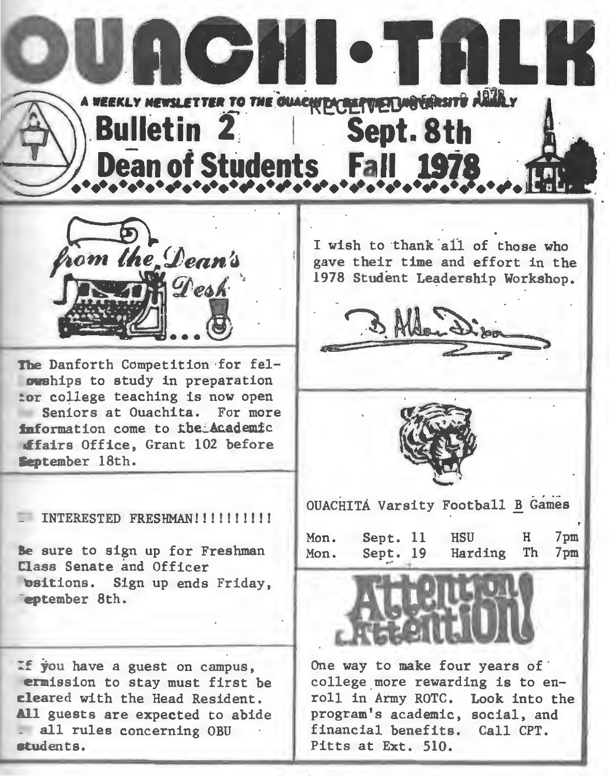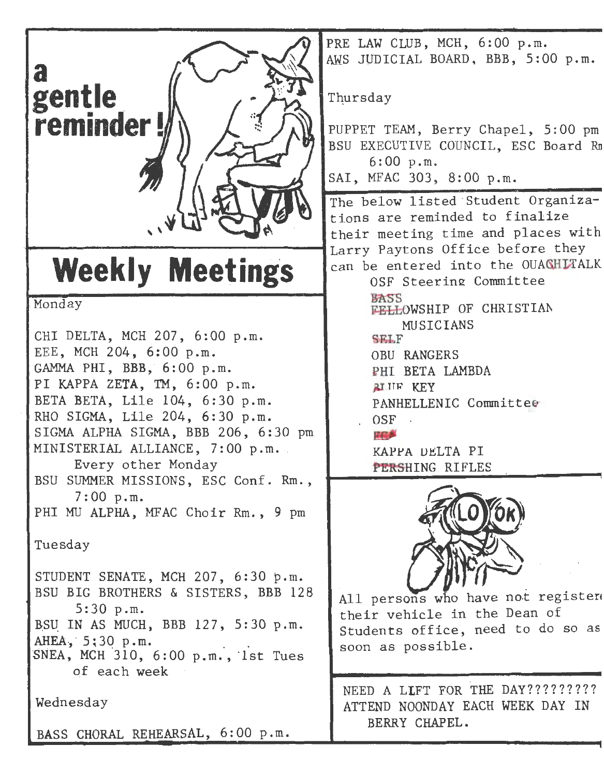

Monday

CHI DELTA, MCH 207, 6:00 p.m. EEE, MCH 204, 6:00 p.m. GAMMA PHI, BBB, 6:00 p.m. PI KAPPA ZETA, TM, 6:00 p.m. BETA BETA, Lile 104, 6:30 p.m. RHO SIGMA, Lile 204, 6:30 p.m. SIGMA ALPHA SIGMA, BBB 206, 6:30 pm MINISTERIAL ALLIANCE, 7:00 p.m. .Every other Monday BSU SUMMER MISSIONS, ESC Conf. Rm., 7:00 p.m. PHI MU ALPHA, MFAC Choir Rm., 9 pm Tuesday STUDENT SENATE, MCH 207, 6:30 p.m. BSU BIG BROTHERS & SISTERS, BBB 128 5:30 p.m. BSU IN AS MUCH, BBB 127, 5:30 p.m. AHEA, 5:30 p.m.<br>SNEA, MCH 310, 6:00 p.m., 1st Tues of each week Wednesday

BASS CHORAL REHEARSAL, 6:00 p.m.

PRE LAW CLUB, MCH, 6:00 p.m. AWS JVDICIAL BOARD. BBB, 5:00 p.m.

Thursday

PUPPET TEAM, Berry Chapel, 5: 00 pm BSU EXECUTIVE COUNCIL, ESC Board Rn 6:00 p.m. SAI, MFAC 303, 8:00 p.m.

The below listed Student Organizations are reminded to finalize their meeting time and places with Larry Paytons Office before they can be entered into the OUACHITALK

OSF Steering Committee

OSF Steering Committee<br>BASS<br>FELLOWSHIP OF CHRISTIAN MU SICI ANS

 $SETF$ 

OBU RANGERS

PHI BETA LAMBDA

RIJIF KEY

PANHELLENIC Committ ee OSF ·

日前身

KAPPA DELTA PI PERSHING RIFLES



All persons who have not register their vehicle in the Dean of Students office, need to do so as soon as possible.

NEED A LIFT FOR THE DAY?????????? ATTEND NOONDAY EACH WEEK DAY IN BERRY CHAPEL.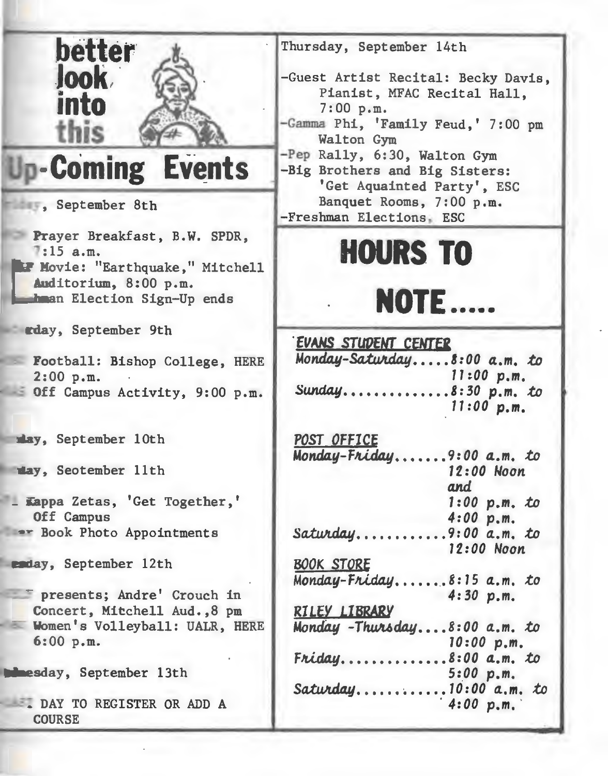| better<br><b>Jook</b><br>into                                                                                                         | Thursday, September 14th<br>-Guest Artist Recital: Becky Davis,<br>Pianist, MFAC Recital Hall,<br>7:00 p.m.<br>-Gamma Phi, 'Family Feud,' 7:00 pm<br>Walton Gym<br>-Pep Rally, 6:30, Walton Gym |
|---------------------------------------------------------------------------------------------------------------------------------------|-------------------------------------------------------------------------------------------------------------------------------------------------------------------------------------------------|
| -Coming Events                                                                                                                        | -Big Brothers and Big Sisters:<br>'Get Aquainted Party', ESC                                                                                                                                    |
| September 8th                                                                                                                         | Banquet Rooms, 7:00 p.m.<br>-Freshman Elections, ESC                                                                                                                                            |
| Prayer Breakfast, B.W. SPDR,<br>$7:15$ a.m.<br>F Movie: "Earthquake," Mitchell<br>Auditorium, 8:00 p.m.<br>hman Election Sign-Up ends | <b>HOURS TO</b><br><b>NOTE</b>                                                                                                                                                                  |
| rday, September 9th                                                                                                                   | <b>EVANS STUDENT CENTER</b>                                                                                                                                                                     |
| Football: Bishop College, HERE<br>2:00 p.m.<br>Off Campus Activity, 9:00 p.m.                                                         | Monday-Saturday8:00 a.m. to<br>11:00 p.m.<br>Sunday8:30 p.m. to<br>$11:00$ p.m.                                                                                                                 |
| may, September 10th                                                                                                                   | POST OFFICE<br>Monday-Friday9:00 a.m. to                                                                                                                                                        |
| way, Seotember 11th                                                                                                                   | 12:00 Noon<br>and                                                                                                                                                                               |
| - Kappa Zetas, 'Get Together,'<br>Off Campus                                                                                          | $1:00$ p.m. to<br>4:00 p.m.                                                                                                                                                                     |
| <b>**</b> Book Photo Appointments                                                                                                     | Saturday<br>$.9:00a.m.$ to<br>12:00 Noon                                                                                                                                                        |
| enday, September 12th                                                                                                                 | <b>BOOK STORE</b><br>Monday-Friday<br>$8:15a.m.$ to                                                                                                                                             |
| presents; Andre' Crouch in<br>Concert, Mitchell Aud., 8 pm                                                                            | 4:30 p.m.<br>RILEY LIBRARY                                                                                                                                                                      |
| Women's Volleyball: UALR, HERE<br>6:00 p.m.                                                                                           | Monday - Thursday8:00 a.m. to<br>10:00 p.m.                                                                                                                                                     |
| <b>Mesday, September 13th</b>                                                                                                         | $8:00$ a.m. to<br>Friday<br>5:00 p.m.<br>Saturday<br>$10:00$ a.m. to                                                                                                                            |
| DAY TO REGISTER OR ADD A<br><b>COURSE</b>                                                                                             | 4:00 p.m.                                                                                                                                                                                       |